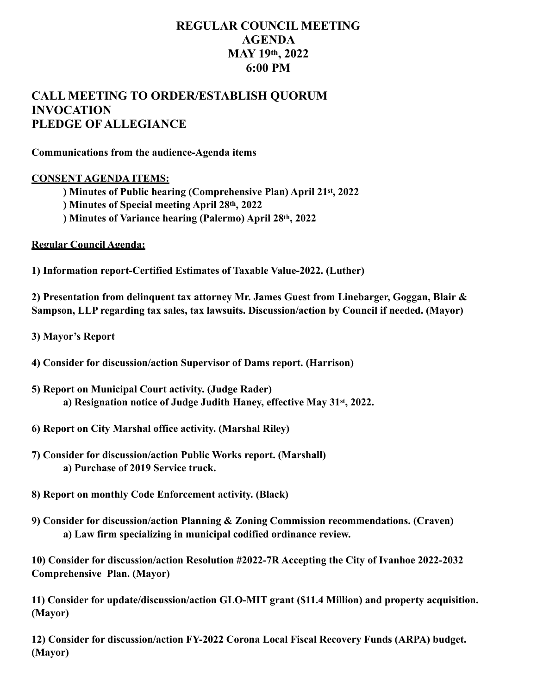## **REGULAR COUNCIL MEETING AGENDA MAY 19th, 2022 6:00 PM**

## **CALL MEETING TO ORDER/ESTABLISH QUORUM INVOCATION PLEDGE OF ALLEGIANCE**

**Communications from the audience-Agenda items** 

## **CONSENT AGENDA ITEMS:**

- **) Minutes of Public hearing (Comprehensive Plan) April 21st, 2022**
- **) Minutes of Special meeting April 28th, 2022**
- **) Minutes of Variance hearing (Palermo) April 28th, 2022**

**Regular Council Agenda:** 

**1) Information report-Certified Estimates of Taxable Value-2022. (Luther)** 

**2) Presentation from delinquent tax attorney Mr. James Guest from Linebarger, Goggan, Blair & Sampson, LLP regarding tax sales, tax lawsuits. Discussion/action by Council if needed. (Mayor)** 

- **3) Mayor's Report**
- **4) Consider for discussion/action Supervisor of Dams report. (Harrison)**
- **5) Report on Municipal Court activity. (Judge Rader) a) Resignation notice of Judge Judith Haney, effective May 31st, 2022.**
- **6) Report on City Marshal office activity. (Marshal Riley)**
- **7) Consider for discussion/action Public Works report. (Marshall) a) Purchase of 2019 Service truck.**
- **8) Report on monthly Code Enforcement activity. (Black)**
- **9) Consider for discussion/action Planning & Zoning Commission recommendations. (Craven) a) Law firm specializing in municipal codified ordinance review.**

**10) Consider for discussion/action Resolution #2022-7R Accepting the City of Ivanhoe 2022-2032 Comprehensive Plan. (Mayor)** 

**11) Consider for update/discussion/action GLO-MIT grant (\$11.4 Million) and property acquisition. (Mayor)** 

**12) Consider for discussion/action FY-2022 Corona Local Fiscal Recovery Funds (ARPA) budget. (Mayor)**